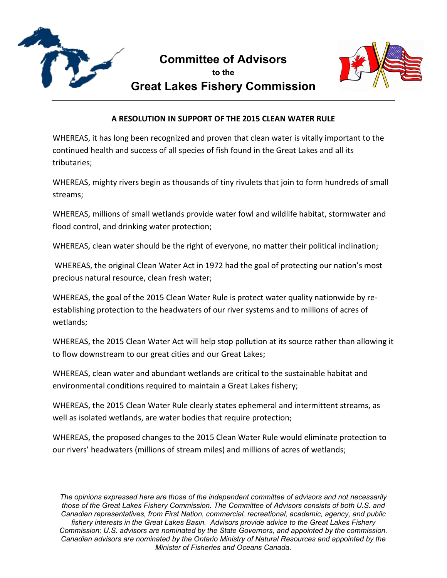

## **Committee of Advisors to the Great Lakes Fishery Commission**



## **A RESOLUTION IN SUPPORT OF THE 2015 CLEAN WATER RULE**

WHEREAS, it has long been recognized and proven that clean water is vitally important to the continued health and success of all species of fish found in the Great Lakes and all its tributaries;

WHEREAS, mighty rivers begin as thousands of tiny rivulets that join to form hundreds of small streams;

WHEREAS, millions of small wetlands provide water fowl and wildlife habitat, stormwater and flood control, and drinking water protection;

WHEREAS, clean water should be the right of everyone, no matter their political inclination;

WHEREAS, the original Clean Water Act in 1972 had the goal of protecting our nation's most precious natural resource, clean fresh water;

WHEREAS, the goal of the 2015 Clean Water Rule is protect water quality nationwide by reestablishing protection to the headwaters of our river systems and to millions of acres of wetlands;

WHEREAS, the 2015 Clean Water Act will help stop pollution at its source rather than allowing it to flow downstream to our great cities and our Great Lakes;

WHEREAS, clean water and abundant wetlands are critical to the sustainable habitat and environmental conditions required to maintain a Great Lakes fishery;

WHEREAS, the 2015 Clean Water Rule clearly states ephemeral and intermittent streams, as well as isolated wetlands, are water bodies that require protection;

WHEREAS, the proposed changes to the 2015 Clean Water Rule would eliminate protection to our rivers' headwaters (millions of stream miles) and millions of acres of wetlands;

*The opinions expressed here are those of the independent committee of advisors and not necessarily those of the Great Lakes Fishery Commission. The Committee of Advisors consists of both U.S. and Canadian representatives, from First Nation, commercial, recreational, academic, agency, and public fishery interests in the Great Lakes Basin. Advisors provide advice to the Great Lakes Fishery Commission; U.S. advisors are nominated by the State Governors, and appointed by the commission. Canadian advisors are nominated by the Ontario Ministry of Natural Resources and appointed by the Minister of Fisheries and Oceans Canada.*